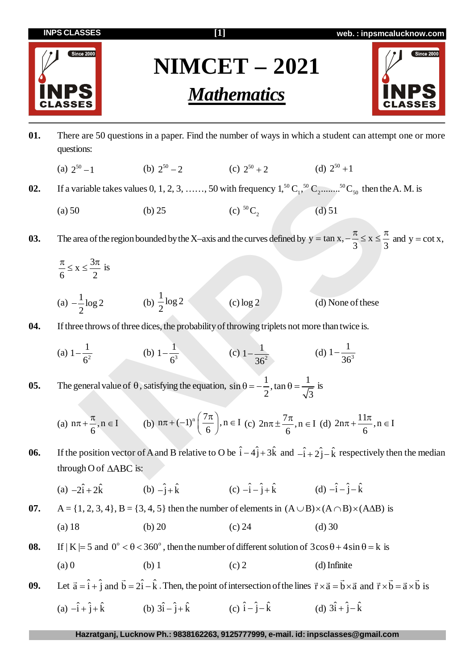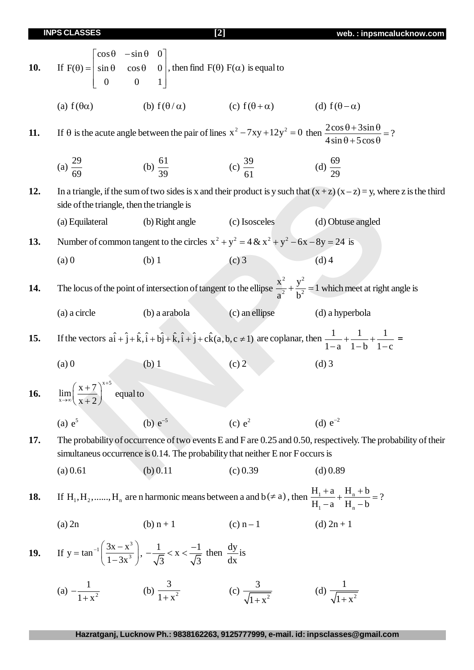| <b>10.</b> |                                                                                                                                    | If $F(\theta) = \begin{bmatrix} \cos \theta & -\sin \theta & 0 \\ \sin \theta & \cos \theta & 0 \\ 0 & 0 & 1 \end{bmatrix}$ , then find $F(\theta) F(\alpha)$ is equal to |                                                                                                                                                                    |                                                                                                                                                                                               |
|------------|------------------------------------------------------------------------------------------------------------------------------------|---------------------------------------------------------------------------------------------------------------------------------------------------------------------------|--------------------------------------------------------------------------------------------------------------------------------------------------------------------|-----------------------------------------------------------------------------------------------------------------------------------------------------------------------------------------------|
|            | (a) $f(\theta \alpha)$                                                                                                             | (b) $f(\theta/\alpha)$                                                                                                                                                    | (c) $f(\theta + \alpha)$ (d) $f(\theta - \alpha)$                                                                                                                  |                                                                                                                                                                                               |
| 11.        |                                                                                                                                    |                                                                                                                                                                           |                                                                                                                                                                    | If $\theta$ is the acute angle between the pair of lines $x^2 - 7xy + 12y^2 = 0$ then $\frac{2\cos\theta + 3\sin\theta}{4\sin\theta + 5\cos\theta} = ?$                                       |
|            | (a) $\frac{29}{69}$                                                                                                                | (b) $\frac{61}{39}$                                                                                                                                                       | (c) $\frac{39}{61}$                                                                                                                                                | (d) $\frac{69}{29}$                                                                                                                                                                           |
| 12.        | side of the triangle, then the triangle is                                                                                         |                                                                                                                                                                           |                                                                                                                                                                    | In a triangle, if the sum of two sides is x and their product is y such that $(x + z) (x - z) = y$ , where z is the third                                                                     |
|            | (a) Equilateral                                                                                                                    | (b) Right angle                                                                                                                                                           | (c) Isosceles                                                                                                                                                      | (d) Obtuse angled                                                                                                                                                                             |
| 13.        |                                                                                                                                    |                                                                                                                                                                           | Number of common tangent to the circles $x^2 + y^2 = 4 & x^2 + y^2 - 6x - 8y = 24$ is                                                                              |                                                                                                                                                                                               |
|            | $(a)$ 0                                                                                                                            | (b) 1                                                                                                                                                                     | $(c)$ 3                                                                                                                                                            | $(d)$ 4                                                                                                                                                                                       |
| 14.        |                                                                                                                                    |                                                                                                                                                                           |                                                                                                                                                                    | The locus of the point of intersection of tangent to the ellipse $\frac{x^2}{a^2} + \frac{y^2}{b^2} = 1$ which meet at right angle is                                                         |
|            | (a) a circle                                                                                                                       | (b) a arabola                                                                                                                                                             | (c) an ellipse                                                                                                                                                     | (d) a hyperbola                                                                                                                                                                               |
| 15.        |                                                                                                                                    |                                                                                                                                                                           |                                                                                                                                                                    | If the vectors $a\hat{i} + \hat{j} + \hat{k}, \hat{i} + b\hat{j} + \hat{k}, \hat{i} + \hat{j} + c\hat{k}(a, b, c \ne 1)$ are coplanar, then $\frac{1}{1-a} + \frac{1}{1-b} + \frac{1}{1-c} =$ |
|            | $(a)$ 0                                                                                                                            | $(b)$ 1                                                                                                                                                                   | $(c)$ 2                                                                                                                                                            | $(d)$ 3                                                                                                                                                                                       |
| 16.        | $\lim_{x\to\infty} \left(\frac{x+7}{x+2}\right)^{x+5}$ equal to                                                                    |                                                                                                                                                                           |                                                                                                                                                                    |                                                                                                                                                                                               |
|            | (a) $e^5$                                                                                                                          | (b) $e^{-5}$                                                                                                                                                              | (c) e <sup>2</sup>                                                                                                                                                 | (d) $e^{-2}$                                                                                                                                                                                  |
| 17.        |                                                                                                                                    |                                                                                                                                                                           | simultaneus occurrence is $0.14$ . The probability that neither E nor F occurs is                                                                                  | The probability of occurrence of two events E and F are 0.25 and 0.50, respectively. The probability of their                                                                                 |
|            | (a) 0.61                                                                                                                           | (b) $0.11$                                                                                                                                                                | (c) 0.39                                                                                                                                                           | $(d)$ 0.89                                                                                                                                                                                    |
| 18.        |                                                                                                                                    |                                                                                                                                                                           | If H <sub>1</sub> , H <sub>2</sub> ,, H <sub>n</sub> are n harmonic means between a and b( $\neq$ a), then $\frac{H_1 + a}{H_1 - a} + \frac{H_n + b}{H_n - b} = ?$ |                                                                                                                                                                                               |
|            | $(a)$ 2n                                                                                                                           | (b) $n + 1$                                                                                                                                                               | $(c)$ n – 1                                                                                                                                                        | (d) $2n + 1$                                                                                                                                                                                  |
| <b>19.</b> | If $y = \tan^{-1} \left( \frac{3x - x^3}{1 - 3x^3} \right), -\frac{1}{\sqrt{3}} < x < \frac{-1}{\sqrt{3}}$ then $\frac{dy}{dx}$ is |                                                                                                                                                                           |                                                                                                                                                                    |                                                                                                                                                                                               |
|            |                                                                                                                                    |                                                                                                                                                                           |                                                                                                                                                                    |                                                                                                                                                                                               |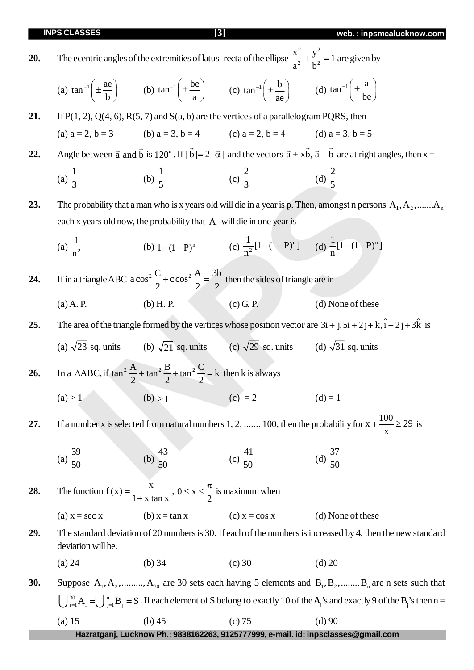3

**20.** The ecentric angles of the extremities of latus–recta of the ellipse 2  $\sqrt{2}$  $\frac{x^2}{a^2} + \frac{y^2}{b^2} = 1$  $a^2$   $b^2$  $+\frac{y}{12}$  = 1 are given by

(a) 
$$
\tan^{-1}\left(\pm\frac{ae}{b}\right)
$$
 (b)  $\tan^{-1}\left(\pm\frac{be}{a}\right)$  (c)  $\tan^{-1}\left(\pm\frac{b}{ae}\right)$  (d)  $\tan^{-1}\left(\pm\frac{a}{be}\right)$ 

**21.** If P(1, 2), Q(4, 6), R(5, 7) and S(a, b) are the vertices of a parallelogram PQRS, then

5

(a)  $a = 2$ ,  $b = 3$  (b)  $a = 3$ ,  $b = 4$  (c)  $a = 2$ ,  $b = 4$  (d)  $a = 3$ ,  $b = 5$ 

**22.** Angle between a and b  $\vec{a}$  and  $\vec{b}$  is 120°. If  $|\vec{b}| = 2 |\vec{\alpha}| \hat{\alpha}$  $\vec{r}$   $\vec{a}$   $\vec{r}$ and the vectors  $\vec{a} + x\vec{b}$ ,  $\vec{a} - \vec{b}$  are at right angles, then x = (a) 1 (b) 1 (c) 2 (d) 2

**23.** The probability that a man who is x years old will die in a year is p. Then, amongst n persons  $A_1, A_2, \ldots, A_n$ each x years old now, the probability that  $A_1$  will die in one year is

3

5

(a) 
$$
\frac{1}{n^2}
$$
 (b)  $1-(1-P)^n$  (c)  $\frac{1}{n^2}[1-(1-P)^n]$  (d)  $\frac{1}{n}[1-(1-P)^n]$ 

If the triangle ABC aros<sup>2</sup>  $\frac{1}{5}$  + core  $\frac{2}{3}$  + core or  $\frac{2}{3}$  + constability that a man who is x years old will die in a year is p. Then, amongst n persons A<sub>1</sub>, A<sub>2</sub>,....<br>
x years old now, the probability **24.** If in a triangle ABC  $a cos^2 \frac{C}{2} + c cos^2 \frac{A}{2} = \frac{3b}{2}$ 2 2 2 +  $\cos^2 \frac{\pi}{2} = \frac{56}{2}$  then the sides of triangle are in (a) A. P. (b) H. P. (c) G. P. (d) None of these

**25.** The area of the triangle formed by the vertices whose position vector are  $3i + j$ ,  $5i + 2j + k$ ,  $\hat{i} - 2j + 3\hat{k}$  is

- (a)  $\sqrt{23}$  sq. units (b)  $\sqrt{21}$  sq. units (c)  $\sqrt{29}$  sq. units (d)  $\sqrt{31}$  sq. units
- **26.** In a  $\triangle ABC$ , if  $\tan^2 \frac{A}{2} + \tan^2 \frac{B}{2} + \tan^2 \frac{C}{2} = k$ 2 2 2  $\triangle ABC$ , if  $\tan^2 \frac{1}{2} + \tan^2 \frac{1}{2} + \tan^2 \frac{1}{2} = k$  then k is always (a) > 1 (b)  $\geq 1$  (c) = 2 (d) = 1
- **27.** If a number x is selected from natural numbers 1, 2, ....... 100, then the probability for  $x + \frac{100}{2} \ge 29$ x  $+\frac{100}{100} \ge 29$  is
	- (a) 39  $\frac{1}{50}$  (b) 43  $\frac{1}{50}$  (c) 41  $\frac{1}{50}$  (d) 37 50

**28.** The function  $f(x) = \frac{x}{1+x^2}$  $1 + x \tan x$  $=$  $\ddot{}$ ,  $0 \leq x$ 2  $\leq x \leq \frac{\pi}{2}$  is maximum when

- (a)  $x = \sec x$  (b)  $x = \tan x$  (c)  $x = \cos x$  (d) None of these
- **29.** The standard deviation of 20 numbers is 30. If each of the numbers is increased by 4, then the new standard deviation will be.
	- (a) 24 (b) 34 (c) 30 (d) 20
- **Hazratganj, Lucknow Ph.: 9838162263, 9125777999, e-mail. id: inpsclasses@gmail.com 30.** Suppose  $A_1, A_2, \ldots, A_{30}$  are 30 sets each having 5 elements and  $B_1, B_2, \ldots, B_n$  are n sets such that  $\bigcup_{i=1}^{30} A_i = \bigcup_{j=1}^{n} B_j = S$  . If each element of S belong to exactly 10 of the  $A_i$ 's and exactly 9 of the  $B_j$ 's then  $n =$ (a) 15 (b) 45 (c) 75 (d) 90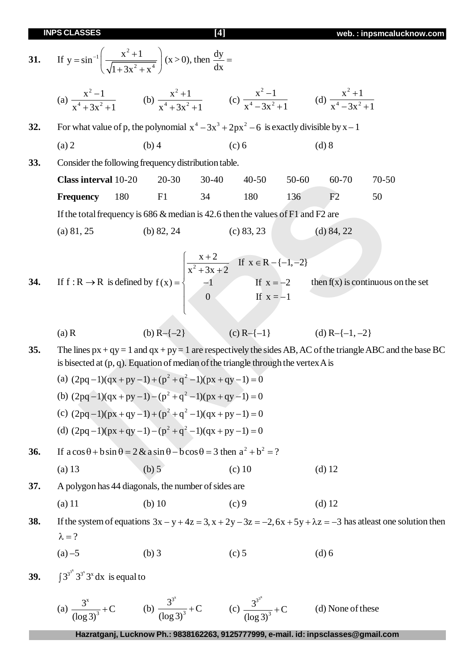|            | <b>INPS CLASSES</b>                                                                                                                                                                                                 |                | [4]       |            |           |                                       | web.: inpsmcalucknow.com                                                                                                      |
|------------|---------------------------------------------------------------------------------------------------------------------------------------------------------------------------------------------------------------------|----------------|-----------|------------|-----------|---------------------------------------|-------------------------------------------------------------------------------------------------------------------------------|
| 31.        | If $y = \sin^{-1}\left(\frac{x^2 + 1}{\sqrt{1 + 3x^2 + x^4}}\right)$ (x > 0), then $\frac{dy}{dx} =$                                                                                                                |                |           |            |           |                                       |                                                                                                                               |
|            | (a) $\frac{x^2-1}{x^4+3x^2+1}$ (b) $\frac{x^2+1}{x^4+3x^2+1}$ (c) $\frac{x^2-1}{x^4-3x^2+1}$ (d) $\frac{x^2+1}{x^4-3x^2+1}$                                                                                         |                |           |            |           |                                       |                                                                                                                               |
| 32.        | For what value of p, the polynomial $x^4 - 3x^3 + 2px^2 - 6$ is exactly divisible by $x - 1$                                                                                                                        |                |           |            |           |                                       |                                                                                                                               |
|            | (a) 2                                                                                                                                                                                                               | $(b)$ 4        |           | (c) 6      |           | (d) 8                                 |                                                                                                                               |
| 33.        | Consider the following frequency distribution table.                                                                                                                                                                |                |           |            |           |                                       |                                                                                                                               |
|            | Class interval 10-20                                                                                                                                                                                                | $20 - 30$      | $30 - 40$ | $40 - 50$  | $50 - 60$ | 60-70                                 | $70 - 50$                                                                                                                     |
|            | <b>Frequency</b><br>180                                                                                                                                                                                             | F1             | 34        | 180        | 136       | F <sub>2</sub>                        | 50                                                                                                                            |
|            | If the total frequency is $686 \& \text{median}$ is 42.6 then the values of F1 and F2 are                                                                                                                           |                |           |            |           |                                       |                                                                                                                               |
|            | (a) 81, 25                                                                                                                                                                                                          | (b) $82, 24$   |           | (c) 83, 23 |           | (d) 84, 22                            |                                                                                                                               |
| 34.        | If $f: R \to R$ is defined by $f(x) = \begin{cases} \frac{x+2}{x^2 + 3x + 2} & \text{if } x \in R - \{-1, -2\} \\ -1 & \text{if } x = -2 \\ 0 & \text{if } x = -1 \end{cases}$ then $f(x)$ is continuous on the set |                |           |            |           |                                       |                                                                                                                               |
|            | (a) R                                                                                                                                                                                                               | (b) $R-\{-2\}$ |           |            |           | (c) $R - \{-1\}$ (d) $R - \{-1, -2\}$ |                                                                                                                               |
| 35.        | is bisected at $(p, q)$ . Equation of median of the triangle through the vertex A is                                                                                                                                |                |           |            |           |                                       | The lines $px + qy = 1$ and $qx + py = 1$ are respectively the sides AB, AC of the triangle ABC and the base BC               |
|            | (a) $(2pq-1)(qx+py-1)+(p^2+q^2-1)(px+qy-1)=0$                                                                                                                                                                       |                |           |            |           |                                       |                                                                                                                               |
|            | (b) $(2pq-1)(qx+py-1)-(p^2+q^2-1)(px+qy-1)=0$                                                                                                                                                                       |                |           |            |           |                                       |                                                                                                                               |
|            | (c) $(2pq-1)(px+qy-1)+(p^2+q^2-1)(qx+py-1)=0$                                                                                                                                                                       |                |           |            |           |                                       |                                                                                                                               |
|            | (d) $(2pq-1)(px+qy-1)-(p^2+q^2-1)(qx+py-1)=0$                                                                                                                                                                       |                |           |            |           |                                       |                                                                                                                               |
| <b>36.</b> | If $a\cos\theta + b\sin\theta = 2\& a\sin\theta - b\cos\theta = 3$ then $a^2 + b^2 = ?$                                                                                                                             |                |           |            |           |                                       |                                                                                                                               |
|            | $(a)$ 13                                                                                                                                                                                                            | (b) 5          |           | $(c)$ 10   |           | $(d)$ 12                              |                                                                                                                               |
| 37.        | A polygon has 44 diagonals, the number of sides are                                                                                                                                                                 |                |           |            |           |                                       |                                                                                                                               |
|            | $(a)$ 11                                                                                                                                                                                                            | $(b)$ 10       |           | (c)9       |           | $(d)$ 12                              |                                                                                                                               |
| 38.        | $\lambda = ?$                                                                                                                                                                                                       |                |           |            |           |                                       | If the system of equations $3x - y + 4z = 3$ , $x + 2y - 3z = -2$ , $6x + 5y + \lambda z = -3$ has at least one solution then |
|            | $(a) -5$                                                                                                                                                                                                            | $(b)$ 3        |           | $(c)$ 5    |           | (d) 6                                 |                                                                                                                               |
| 39.        | $\int 3^{3^x} 3^{3^x} 3^x dx$ is equal to                                                                                                                                                                           |                |           |            |           |                                       |                                                                                                                               |

(a) x 3  $\frac{3^x}{2^x}$  + C (log 3)  $+C$  (b) x 3 3  $\frac{3^{3}}{2}$  + C (log 3)  $+C$  (c)  $3^{3^x}$ 3  $\frac{3^{3^5}}{2^{3}} + C$ (log 3)  $+C$  (d) None of these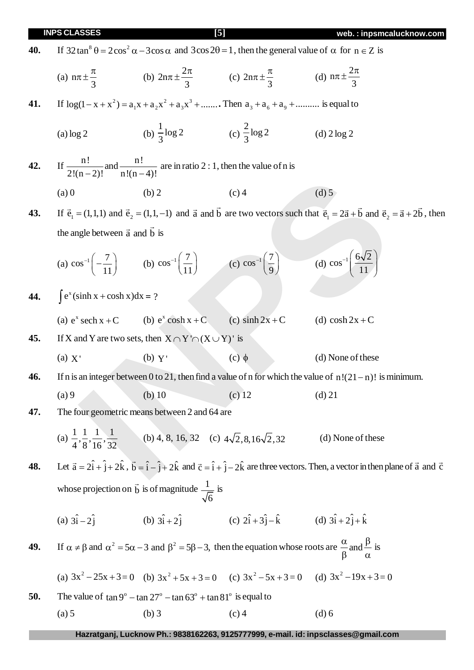|     | <b>INPS CLASSES</b>                           | $[5]$                                                                                                                                                                   |                    | web.: inpsmcalucknow.com                                                                                                                                                                                         |
|-----|-----------------------------------------------|-------------------------------------------------------------------------------------------------------------------------------------------------------------------------|--------------------|------------------------------------------------------------------------------------------------------------------------------------------------------------------------------------------------------------------|
| 40. |                                               | If $32\tan^8 \theta = 2\cos^2 \alpha - 3\cos \alpha$ and $3\cos 2\theta = 1$ , then the general value of $\alpha$ for $n \in \mathbb{Z}$ is                             |                    |                                                                                                                                                                                                                  |
|     |                                               | (a) $n\pi \pm \frac{\pi}{3}$ (b) $2n\pi \pm \frac{2\pi}{3}$ (c) $2n\pi \pm \frac{\pi}{3}$ (d) $n\pi \pm \frac{2\pi}{3}$                                                 |                    |                                                                                                                                                                                                                  |
| 41. |                                               | If $log(1-x+x^2) = a_1x + a_2x^2 + a_3x^3 + \dots$ Then $a_3 + a_6 + a_9 + \dots$ is equal to                                                                           |                    |                                                                                                                                                                                                                  |
|     | $(a) \log 2$                                  | (b) $\frac{1}{3} \log 2$ (c) $\frac{2}{3} \log 2$                                                                                                                       |                    | (d) $2 \log 2$                                                                                                                                                                                                   |
| 42. |                                               | If $\frac{n!}{2!(n-2)!}$ and $\frac{n!}{n!(n-4)!}$ are in ratio 2 : 1, then the value of n is                                                                           |                    |                                                                                                                                                                                                                  |
|     | $(a)$ 0                                       | (b) 2                                                                                                                                                                   | $(c)$ 4            | (d) 5                                                                                                                                                                                                            |
| 43. |                                               |                                                                                                                                                                         |                    | If $\vec{e}_1 = (1,1,1)$ and $\vec{e}_2 = (1,1,-1)$ and $\vec{a}$ and $\vec{b}$ are two vectors such that $\vec{e}_1 = 2\vec{a} + \vec{b}$ and $\vec{e}_2 = \vec{a} + 2\vec{b}$ , then                           |
|     | the angle between $\vec{a}$ and $\vec{b}$ is  |                                                                                                                                                                         |                    |                                                                                                                                                                                                                  |
|     |                                               | (a) $\cos^{-1}\left(-\frac{7}{11}\right)$ (b) $\cos^{-1}\left(\frac{7}{11}\right)$ (c) $\cos^{-1}\left(\frac{7}{9}\right)$                                              |                    | (d) $\cos^{-1} \left( \frac{6\sqrt{2}}{11} \right)$                                                                                                                                                              |
| 44. | $\int e^x (\sinh x + \cosh x) dx = ?$         |                                                                                                                                                                         |                    |                                                                                                                                                                                                                  |
|     | (a) $e^x$ sech $x + C$ (b) $e^x$ cosh $x + C$ |                                                                                                                                                                         | (c) $\sinh 2x + C$ | (d) $\cosh 2x + C$                                                                                                                                                                                               |
| 45. |                                               | If X and Y are two sets, then $X \cap Y' \cap (X \cup Y)'$ is                                                                                                           |                    |                                                                                                                                                                                                                  |
|     | (a) X'                                        | $(b)$ Y'                                                                                                                                                                | $(c)$ $\phi$       | (d) None of these                                                                                                                                                                                                |
| 46. |                                               |                                                                                                                                                                         |                    | If n is an integer between 0 to 21, then find a value of n for which the value of $n!(21-n)!$ is minimum.                                                                                                        |
|     | (a) 9                                         | $(b)$ 10                                                                                                                                                                | $(c)$ 12           | (d) 21                                                                                                                                                                                                           |
| 47. |                                               | The four geometric means between 2 and 64 are                                                                                                                           |                    |                                                                                                                                                                                                                  |
|     |                                               | (a) $\frac{1}{4}, \frac{1}{8}, \frac{1}{16}, \frac{1}{32}$ (b) 4, 8, 16, 32 (c) $4\sqrt{2}$ , 8, 16 $\sqrt{2}$ , 32                                                     |                    | (d) None of these                                                                                                                                                                                                |
| 48. |                                               |                                                                                                                                                                         |                    | Let $\vec{a} = 2\hat{i} + \hat{j} + 2\hat{k}$ , $\vec{b} = \hat{i} - \hat{j} + 2\hat{k}$ and $\vec{c} = \hat{i} + \hat{j} - 2\hat{k}$ are three vectors. Then, a vector in then plane of $\vec{a}$ and $\vec{c}$ |
|     |                                               | whose projection on $\vec{b}$ is of magnitude $\frac{1}{\sqrt{6}}$ is                                                                                                   |                    |                                                                                                                                                                                                                  |
|     |                                               | (a) $3\hat{i} - 2\hat{j}$ (b) $3\hat{i} + 2\hat{j}$ (c) $2\hat{i} + 3\hat{j} - \hat{k}$ (d) $3\hat{i} + 2\hat{j} + \hat{k}$                                             |                    |                                                                                                                                                                                                                  |
| 49. |                                               | If $\alpha \neq \beta$ and $\alpha^2 = 5\alpha - 3$ and $\beta^2 = 5\beta - 3$ , then the equation whose roots are $\frac{\alpha}{\beta}$ and $\frac{\beta}{\alpha}$ is |                    |                                                                                                                                                                                                                  |
|     |                                               | (a) $3x^2 - 25x + 3 = 0$ (b) $3x^2 + 5x + 3 = 0$ (c) $3x^2 - 5x + 3 = 0$ (d) $3x^2 - 19x + 3 = 0$                                                                       |                    |                                                                                                                                                                                                                  |
| 50. |                                               | The value of $\tan 9^{\circ} - \tan 27^{\circ} - \tan 63^{\circ} + \tan 81^{\circ}$ is equal to                                                                         |                    |                                                                                                                                                                                                                  |
|     | (a) 5                                         | $(b)$ 3                                                                                                                                                                 | $(c)$ 4            | $(d)$ 6                                                                                                                                                                                                          |
|     |                                               | Hazratganj, Lucknow Ph.: 9838162263, 9125777999, e-mail. id: inpsclasses@gmail.com                                                                                      |                    |                                                                                                                                                                                                                  |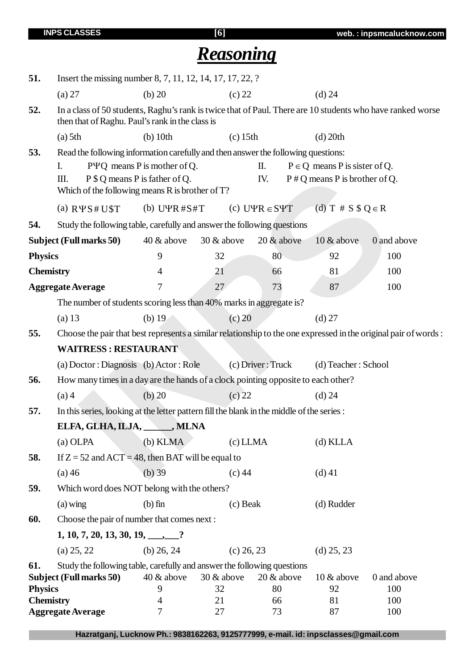|                                           | <b>INPS CLASSES</b>                                                                                                                                           |                                    | [6]                    |              |                        |                                   | web.: inpsmcalucknow.com  |
|-------------------------------------------|---------------------------------------------------------------------------------------------------------------------------------------------------------------|------------------------------------|------------------------|--------------|------------------------|-----------------------------------|---------------------------|
|                                           |                                                                                                                                                               |                                    | <b>Reasoning</b>       |              |                        |                                   |                           |
| 51.                                       | Insert the missing number 8, 7, 11, 12, 14, 17, 17, 22, ?                                                                                                     |                                    |                        |              |                        |                                   |                           |
|                                           | (a) 27                                                                                                                                                        | $(b)$ 20                           |                        | $(c)$ 22     |                        | $(d)$ 24                          |                           |
| 52.                                       | In a class of 50 students, Raghu's rank is twice that of Paul. There are 10 students who have ranked worse<br>then that of Raghu. Paul's rank in the class is |                                    |                        |              |                        |                                   |                           |
|                                           | $(a)$ 5th                                                                                                                                                     | $(b)$ 10th                         |                        | $(c)$ 15th   |                        | $(d)$ 20th                        |                           |
| 53.                                       | Read the following information carefully and then answer the following questions:                                                                             |                                    |                        |              |                        |                                   |                           |
|                                           | I.                                                                                                                                                            | $P \Psi Q$ means P is mother of Q. |                        |              | Π.                     | $P \in Q$ means P is sister of Q. |                           |
|                                           | Ш.                                                                                                                                                            | P \$ Q means P is father of Q.     |                        |              | IV.                    | $P \# Q$ means P is brother of Q. |                           |
|                                           | Which of the following means $R$ is brother of $T$ ?                                                                                                          |                                    |                        |              |                        |                                   |                           |
|                                           | (a) $R\text{ }\Psi S\text{ }\# \text{ U}\$ \text{T}$                                                                                                          | (b) $U\Psi R \# S \# T$            |                        |              | (c) UYR $\in$ SYT      | (d) T # S $$$ Q $\in$ R           |                           |
| 54.                                       | Study the following table, carefully and answer the following questions                                                                                       |                                    |                        |              |                        |                                   |                           |
|                                           | Subject (Full marks 50)                                                                                                                                       | 40 & above                         | 30 & above             |              | 20 & above             | $10 \&$ above                     | 0 and above               |
| <b>Physics</b>                            |                                                                                                                                                               | 9                                  | 32                     |              | 80                     | 92                                | 100                       |
| <b>Chemistry</b>                          |                                                                                                                                                               | $\overline{4}$                     | 21                     |              | 66                     | 81                                | 100                       |
|                                           | <b>Aggregate Average</b>                                                                                                                                      | 7                                  | 27                     |              | 73                     | 87                                | 100                       |
|                                           | The number of students scoring less than 40% marks in aggregate is?                                                                                           |                                    |                        |              |                        |                                   |                           |
|                                           | $(a)$ 13                                                                                                                                                      | $(b)$ 19                           |                        | $(c)$ 20     |                        | (d) 27                            |                           |
| 55.                                       | Choose the pair that best represents a similar relationship to the one expressed in the original pair of words:                                               |                                    |                        |              |                        |                                   |                           |
|                                           | <b>WAITRESS: RESTAURANT</b>                                                                                                                                   |                                    |                        |              |                        |                                   |                           |
|                                           | (a) Doctor: Diagnosis (b) Actor: Role                                                                                                                         |                                    |                        |              | (c) Driver: Truck      | (d) Teacher: School               |                           |
| 56.                                       | How many times in a day are the hands of a clock pointing opposite to each other?                                                                             |                                    |                        |              |                        |                                   |                           |
|                                           | $(a)$ 4                                                                                                                                                       | $(b)$ 20                           |                        | $(c)$ 22     |                        | $(d)$ 24                          |                           |
| 57.                                       | In this series, looking at the letter pattern fill the blank in the middle of the series :                                                                    |                                    |                        |              |                        |                                   |                           |
|                                           | ELFA, GLHA, ILJA, ______, MLNA                                                                                                                                |                                    |                        |              |                        |                                   |                           |
|                                           | $(a)$ OLPA                                                                                                                                                    | $(b)$ KLMA                         |                        | (c) L L M A  |                        | $(d)$ KLLA                        |                           |
| 58.                                       | If $Z = 52$ and $ACT = 48$ , then BAT will be equal to                                                                                                        |                                    |                        |              |                        |                                   |                           |
|                                           | $(a)$ 46                                                                                                                                                      | (b) 39                             |                        | $(c)$ 44     |                        | $(d)$ 41                          |                           |
| 59.                                       | Which word does NOT belong with the others?                                                                                                                   |                                    |                        |              |                        |                                   |                           |
|                                           | $(a)$ wing                                                                                                                                                    | $(b)$ fin                          |                        | $(c)$ Beak   |                        | (d) Rudder                        |                           |
| 60.                                       | Choose the pair of number that comes next:                                                                                                                    |                                    |                        |              |                        |                                   |                           |
|                                           | $1, 10, 7, 20, 13, 30, 19, \underline{\hspace{1cm}}$                                                                                                          |                                    |                        |              |                        |                                   |                           |
|                                           | (a) 25, 22                                                                                                                                                    | (b) $26, 24$                       |                        | $(c)$ 26, 23 |                        | $(d)$ 25, 23                      |                           |
| 61.<br><b>Physics</b><br><b>Chemistry</b> | Study the following table, carefully and answer the following questions<br>Subject (Full marks 50)                                                            | 40 & above<br>9<br>$\overline{4}$  | 30 & above<br>32<br>21 |              | 20 & above<br>80<br>66 | $10 \&$ above<br>92<br>81         | 0 and above<br>100<br>100 |
|                                           | <b>Aggregate Average</b>                                                                                                                                      | $\overline{7}$                     | 27                     |              | 73                     | 87                                | 100                       |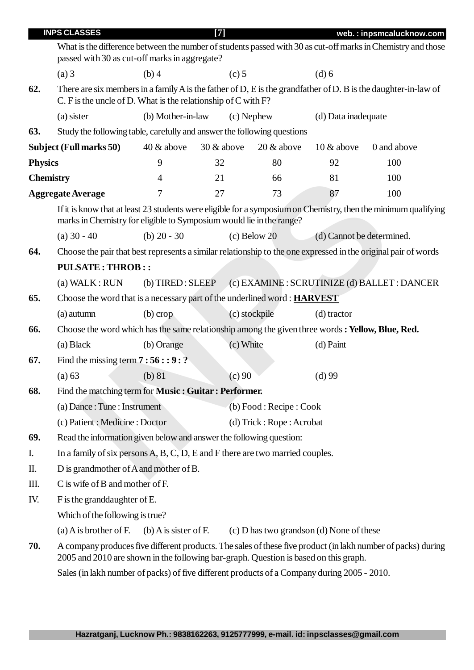|                  | <b>INPS CLASSES</b>                                                                                                                                                                                  |                         | $[7]$      |                                          |                           | web.: inpsmcalucknow.com                                                                                     |
|------------------|------------------------------------------------------------------------------------------------------------------------------------------------------------------------------------------------------|-------------------------|------------|------------------------------------------|---------------------------|--------------------------------------------------------------------------------------------------------------|
|                  | passed with 30 as cut-off marks in aggregate?                                                                                                                                                        |                         |            |                                          |                           | What is the difference between the number of students passed with 30 as cut-off marks in Chemistry and those |
|                  | $(a)$ 3                                                                                                                                                                                              | $(b)$ 4                 | $(c)$ 5    |                                          | (d) 6                     |                                                                                                              |
| 62.              | There are six members in a family A is the father of D, E is the grandfather of D. B is the daughter-in-law of<br>C. F is the uncle of D. What is the relationship of C with F?                      |                         |            |                                          |                           |                                                                                                              |
|                  | (a) sister                                                                                                                                                                                           | (b) Mother-in-law       |            | (c) Nephew                               | (d) Data inadequate       |                                                                                                              |
| 63.              | Study the following table, carefully and answer the following questions                                                                                                                              |                         |            |                                          |                           |                                                                                                              |
|                  | Subject (Full marks 50)                                                                                                                                                                              | $40 \&$ above           | 30 & above | $20 \& above$                            | $10 \&$ above             | 0 and above                                                                                                  |
| <b>Physics</b>   |                                                                                                                                                                                                      | 9                       | 32         | 80                                       | 92                        | 100                                                                                                          |
| <b>Chemistry</b> |                                                                                                                                                                                                      | $\overline{4}$          | 21         | 66                                       | 81                        | 100                                                                                                          |
|                  | <b>Aggregate Average</b>                                                                                                                                                                             | 7                       | 27         | 73                                       | 87                        | 100                                                                                                          |
|                  | If it is know that at least 23 students were eligible for a symposium on Chemistry, then the minimum qualifying<br>marks in Chemistry for eligible to Symposium would lie in the range?              |                         |            |                                          |                           |                                                                                                              |
|                  | (a) $30 - 40$                                                                                                                                                                                        | (b) $20 - 30$           |            | $(c)$ Below 20                           | (d) Cannot be determined. |                                                                                                              |
| 64.              | Choose the pair that best represents a similar relationship to the one expressed in the original pair of words                                                                                       |                         |            |                                          |                           |                                                                                                              |
|                  | <b>PULSATE: THROB::</b>                                                                                                                                                                              |                         |            |                                          |                           |                                                                                                              |
|                  | (a) WALK : RUN                                                                                                                                                                                       | (b) TIRED : SLEEP       |            |                                          |                           | (c) EXAMINE : SCRUTINIZE (d) BALLET : DANCER                                                                 |
| 65.              | Choose the word that is a necessary part of the underlined word: <b>HARVEST</b>                                                                                                                      |                         |            |                                          |                           |                                                                                                              |
|                  | (a) autumn                                                                                                                                                                                           | $(b)$ crop              |            | (c) stockpile                            | $(d)$ tractor             |                                                                                                              |
| 66.              | Choose the word which has the same relationship among the given three words: Yellow, Blue, Red.                                                                                                      |                         |            |                                          |                           |                                                                                                              |
|                  | (a) Black                                                                                                                                                                                            | (b) Orange              | (c) White  |                                          | (d) Paint                 |                                                                                                              |
| 67.              | Find the missing term $7:56::9:?$                                                                                                                                                                    |                         |            |                                          |                           |                                                                                                              |
|                  | $(a)$ 63                                                                                                                                                                                             | (b) 81                  | $(c)$ 90   |                                          | $(d)$ 99                  |                                                                                                              |
| 68.              | Find the matching term for Music: Guitar: Performer.                                                                                                                                                 |                         |            |                                          |                           |                                                                                                              |
|                  | (a) Dance : Tune : Instrument                                                                                                                                                                        |                         |            | (b) Food : Recipe : Cook                 |                           |                                                                                                              |
|                  | (c) Patient : Medicine : Doctor                                                                                                                                                                      |                         |            | (d) Trick : Rope : Acrobat               |                           |                                                                                                              |
| 69.              | Read the information given below and answer the following question:                                                                                                                                  |                         |            |                                          |                           |                                                                                                              |
| I.               | In a family of six persons $A, B, C, D, E$ and $F$ there are two married couples.                                                                                                                    |                         |            |                                          |                           |                                                                                                              |
| Π.               | D is grandmother of A and mother of B.                                                                                                                                                               |                         |            |                                          |                           |                                                                                                              |
| Ш.               | C is wife of B and mother of F.                                                                                                                                                                      |                         |            |                                          |                           |                                                                                                              |
| IV.              | F is the granddaughter of E.                                                                                                                                                                         |                         |            |                                          |                           |                                                                                                              |
|                  | Which of the following is true?                                                                                                                                                                      |                         |            |                                          |                           |                                                                                                              |
|                  | $(a)$ A is brother of F.                                                                                                                                                                             | $(b)$ A is sister of F. |            | (c) D has two grandson (d) None of these |                           |                                                                                                              |
| 70.              | A company produces five different products. The sales of these five product (in lakh number of packs) during<br>2005 and 2010 are shown in the following bar-graph. Question is based on this graph. |                         |            |                                          |                           |                                                                                                              |
|                  | Sales (in lakh number of packs) of five different products of a Company during 2005 - 2010.                                                                                                          |                         |            |                                          |                           |                                                                                                              |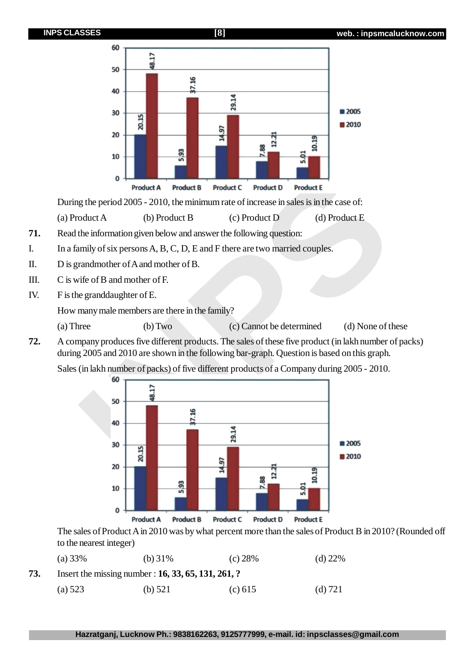

During the period 2005 - 2010, the minimum rate of increase in sales is in the case of:

(a) Product A (b) Product B (c) Product D (d) Product E

- **71.** Read the information given below and answer the following question:
- I. In a family of six persons A, B, C, D, E and F there are two married couples.
- II. D is grandmother of A and mother of B.
- III. C is wife of B and mother of F.
- IV. F is the granddaughter of E.

How many male members are there in the family?

(a) Three (b) Two (c) Cannot be determined (d) None of these

**72.** A company produces five different products. The sales of these five product (in lakh number of packs) during 2005 and 2010 are shown in the following bar-graph. Question is based on this graph.

Sales (in lakh number of packs) of five different products of a Company during 2005 - 2010.



The sales of Product A in 2010 was by what percent more than the sales of Product B in 2010? (Rounded off to the nearest integer)

|     | (a) $33\%$ | (b) $31\%$                                            | (c) 28% | $(d)$ 22% |
|-----|------------|-------------------------------------------------------|---------|-----------|
| 73. |            | Insert the missing number : $16, 33, 65, 131, 261, ?$ |         |           |
|     | (a) $523$  | (b) $521$                                             | (c) 615 | $(d)$ 721 |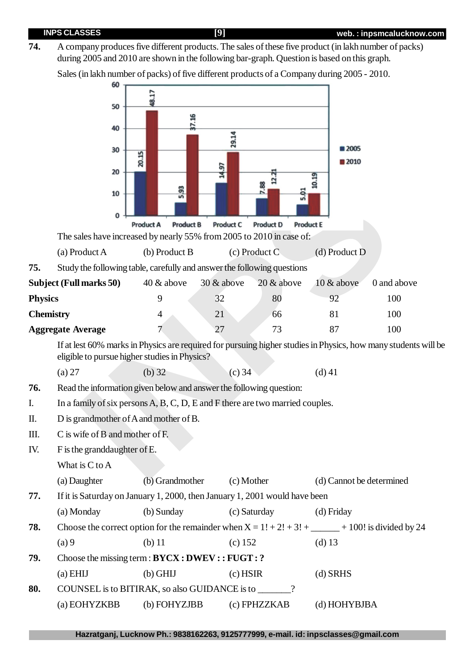**74.** A company produces five different products. The sales of these five product (in lakh number of packs) during 2005 and 2010 are shown in the following bar-graph. Question is based on this graph.

Sales (in lakh number of packs) of five different products of a Company during 2005 - 2010.

|                  | 60                              |                                                                                   |                                      |                          |                                                                                                                        |
|------------------|---------------------------------|-----------------------------------------------------------------------------------|--------------------------------------|--------------------------|------------------------------------------------------------------------------------------------------------------------|
|                  |                                 | 48.17                                                                             |                                      |                          |                                                                                                                        |
|                  | 50                              |                                                                                   |                                      |                          |                                                                                                                        |
|                  | 40                              | 7.16                                                                              |                                      |                          |                                                                                                                        |
|                  |                                 |                                                                                   | 29.14                                |                          | ■ 2005                                                                                                                 |
|                  | 30                              | 20.15                                                                             |                                      |                          | <b>2010</b>                                                                                                            |
|                  | 20                              |                                                                                   | နှ                                   |                          |                                                                                                                        |
|                  | 10                              | 6                                                                                 | 88                                   |                          |                                                                                                                        |
|                  |                                 | 5                                                                                 |                                      |                          |                                                                                                                        |
|                  | 0                               | <b>Product B</b><br><b>Product A</b>                                              | <b>Product C</b><br><b>Product D</b> | <b>Product E</b>         |                                                                                                                        |
|                  |                                 | The sales have increased by nearly 55% from 2005 to 2010 in case of:              |                                      |                          |                                                                                                                        |
|                  | (a) Product A                   | (b) Product B                                                                     | $(c)$ Product C                      | $(d)$ Product D          |                                                                                                                        |
| 75.              |                                 | Study the following table, carefully and answer the following questions           |                                      |                          |                                                                                                                        |
|                  | <b>Subject (Full marks 50)</b>  | 40 & above                                                                        | 30 & above                           | 10 & above<br>20 & above | 0 and above                                                                                                            |
| <b>Physics</b>   |                                 | 9                                                                                 | 32                                   | 80<br>92                 | 100                                                                                                                    |
| <b>Chemistry</b> |                                 | 4                                                                                 | 21                                   | 81<br>66                 | 100                                                                                                                    |
|                  | <b>Aggregate Average</b>        | 7                                                                                 | 27                                   | 73<br>87                 | 100                                                                                                                    |
|                  |                                 | eligible to pursue higher studies in Physics?                                     |                                      |                          | If at lest 60% marks in Physics are required for pursuing higher studies in Physics, how many students will be         |
|                  | (a) 27                          | $(b)$ 32                                                                          | (c) 34                               | $(d)$ 41                 |                                                                                                                        |
| 76.              |                                 | Read the information given below and answer the following question:               |                                      |                          |                                                                                                                        |
| I.               |                                 | In a family of six persons $A, B, C, D, E$ and $F$ there are two married couples. |                                      |                          |                                                                                                                        |
| П.               |                                 | D is grandmother of A and mother of B.                                            |                                      |                          |                                                                                                                        |
| Ш.               | C is wife of B and mother of F. |                                                                                   |                                      |                          |                                                                                                                        |
| IV.              | F is the granddaughter of E.    |                                                                                   |                                      |                          |                                                                                                                        |
|                  | What is C to A                  |                                                                                   |                                      |                          |                                                                                                                        |
|                  | (a) Daughter                    | (b) Grandmother                                                                   | (c) Mother                           |                          | (d) Cannot be determined                                                                                               |
| 77.              |                                 | If it is Saturday on January 1, 2000, then January 1, 2001 would have been        |                                      |                          |                                                                                                                        |
|                  | (a) Monday                      | (b) Sunday                                                                        | (c) Saturday                         | (d) Friday               |                                                                                                                        |
| 78.              |                                 |                                                                                   |                                      |                          | Choose the correct option for the remainder when $X = 1! + 2! + 3! + \underline{\hspace{2cm}} + 100!$ is divided by 24 |
|                  | (a) 9                           | $(b)$ 11                                                                          | (c) 152                              | $(d)$ 13                 |                                                                                                                        |
| 79.              |                                 | Choose the missing term: BYCX: DWEV:: FUGT:?                                      |                                      |                          |                                                                                                                        |
|                  | $(a)$ EHIJ                      | $(b)$ GHIJ                                                                        | $(c)$ HSIR                           | $(d)$ SRHS               |                                                                                                                        |
| 80.              |                                 | COUNSEL is to BITIRAK, so also GUIDANCE is to ______?                             |                                      |                          |                                                                                                                        |
|                  | (a) EOHYZKBB                    | (b) FOHYZJBB                                                                      | (c) FPHZZKAB                         |                          | (d) HOHYBJBA                                                                                                           |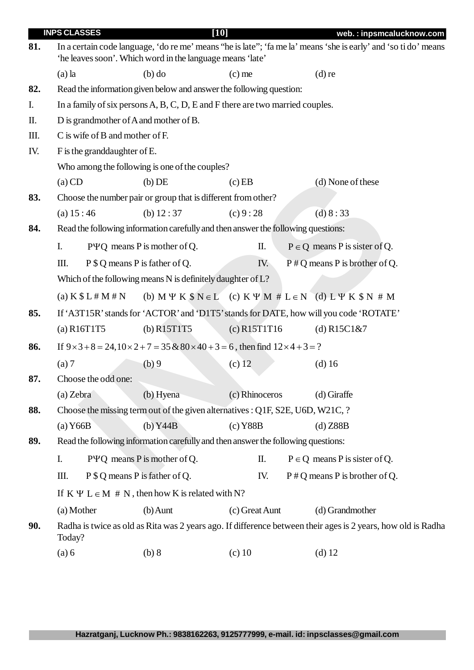|     | <b>INPS CLASSES</b>          |                                                                                                          | $[10]$         | web.: inpsmcalucknow.com                                                                                       |
|-----|------------------------------|----------------------------------------------------------------------------------------------------------|----------------|----------------------------------------------------------------------------------------------------------------|
| 81. |                              | 'he leaves soon'. Which word in the language means 'late'                                                |                | In a certain code language, 'do re me' means "he is late"; 'fa me la' means 'she is early' and 'so tido' means |
|     | $(a)$ la                     | $(b)$ do                                                                                                 | $(c)$ me       | $(d)$ re                                                                                                       |
| 82. |                              | Read the information given below and answer the following question:                                      |                |                                                                                                                |
| I.  |                              | In a family of six persons $A, B, C, D, E$ and $F$ there are two married couples.                        |                |                                                                                                                |
| Π.  |                              | D is grandmother of A and mother of B.                                                                   |                |                                                                                                                |
| Ш.  |                              | C is wife of B and mother of F.                                                                          |                |                                                                                                                |
| IV. | F is the granddaughter of E. |                                                                                                          |                |                                                                                                                |
|     |                              | Who among the following is one of the couples?                                                           |                |                                                                                                                |
|     | $(a)$ CD                     | $(b)$ DE                                                                                                 | $(c)$ EB       | (d) None of these                                                                                              |
| 83. |                              | Choose the number pair or group that is different from other?                                            |                |                                                                                                                |
|     | (a) $15:46$                  | (b) $12:37$                                                                                              | (c) 9:28       | (d) 8:33                                                                                                       |
| 84. |                              | Read the following information carefully and then answer the following questions:                        |                |                                                                                                                |
|     | I.                           | $P \Psi Q$ means P is mother of Q.                                                                       | Π.             | $P \in Q$ means P is sister of Q.                                                                              |
|     | III.                         | P \$ Q means P is father of Q.                                                                           | IV.            | $P \# Q$ means P is brother of Q.                                                                              |
|     |                              | Which of the following means N is definitely daughter of L?                                              |                |                                                                                                                |
|     | (a) $K $L # M # N$           |                                                                                                          |                | (b) $M \Psi K$ $\Upsilon N \in L$ (c) $K \Psi M \# L \in N$ (d) $L \Psi K$ $\Upsilon N \# M$                   |
| 85. |                              |                                                                                                          |                | If 'A3T15R' stands for 'ACTOR' and 'D1T5' stands for DATE, how will you code 'ROTATE'                          |
|     | $(a)$ R <sub>16T</sub> $1T5$ | $(b)$ R <sub>15</sub> T <sub>1</sub> T <sub>5</sub>                                                      | $(c)$ R15T1T16 | (d) $R15C1&7$                                                                                                  |
| 86. |                              | If $9 \times 3 + 8 = 24, 10 \times 2 + 7 = 35 \& 80 \times 40 + 3 = 6$ , then find $12 \times 4 + 3 = ?$ |                |                                                                                                                |
|     | (a) 7                        | (b)9                                                                                                     | $(c)$ 12       | $(d)$ 16                                                                                                       |
| 87. | Choose the odd one:          |                                                                                                          |                |                                                                                                                |
|     | (a) Zebra                    | (b) Hyena                                                                                                | (c) Rhinoceros | (d) Giraffe                                                                                                    |
| 88. |                              | Choose the missing term out of the given alternatives : Q1F, S2E, U6D, W21C, ?                           |                |                                                                                                                |
|     | $(a)$ Y66B                   | $(b)$ Y44B                                                                                               | $(c)$ Y88B     | $(d)$ Z88B                                                                                                     |
| 89. |                              | Read the following information carefully and then answer the following questions:                        |                |                                                                                                                |
|     | Ι.                           | $P \Psi Q$ means P is mother of Q.                                                                       | Π.             | $P \in Q$ means P is sister of Q.                                                                              |
|     | Ш.                           | P \$ Q means P is father of Q.                                                                           | IV.            | $P \# Q$ means P is brother of Q.                                                                              |
|     |                              |                                                                                                          |                |                                                                                                                |
|     |                              | If $K \Psi L \in M \# N$ , then how K is related with N?                                                 |                |                                                                                                                |
|     | (a) Mother                   | $(b)$ Aunt                                                                                               | (c) Great Aunt | (d) Grandmother                                                                                                |
| 90. | Today?                       |                                                                                                          |                | Radha is twice as old as Rita was 2 years ago. If difference between their ages is 2 years, how old is Radha   |
|     | (a) 6                        | (b) 8                                                                                                    | $(c)$ 10       | $(d)$ 12                                                                                                       |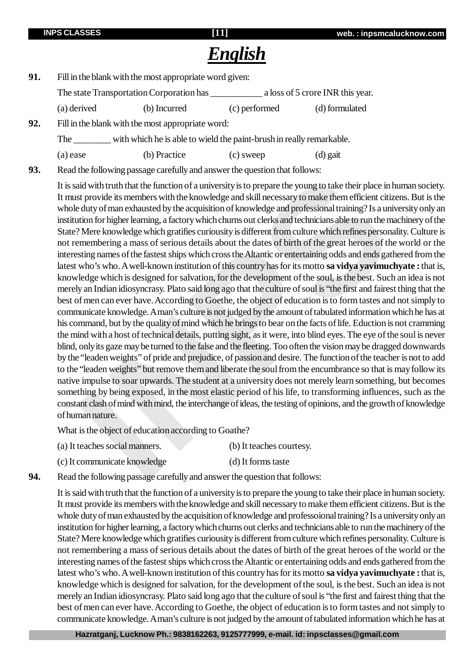**INPS CLASSES [11] web. : inpsmcalucknow.com**

# *English*

**91.** Fill in the blank with the most appropriate word given:

The state Transportation Corporation has a loss of 5 crore INR this year.

(a) derived (b) Incurred (c) performed (d) formulated

**92.** Fill in the blank with the most appropriate word:

The with which he is able to wield the paint-brush in really remarkable.

(a) ease (b) Practice (c) sweep (d) gait

**93.** Read the following passage carefully and answer the question that follows:

the following passage carefully and answer the question that follows;<br>
and with truth that the function of a university is to prepare the young to take their place in human so<br>
ist provide its members with the knowledge an It is said with truth that the function of a university is to prepare the young to take their place in human society. It must provide its members with the knowledge and skill necessary to make them efficient citizens. But is the whole duty of man exhausted by the acquisition of knowledge and professional training? Is a university only an institution for higher learning, a factory which churns out clerks and technicians able to run the machinery of the State? Mere knowledge which gratifies curiousity is different from culture which refines personality. Culture is not remembering a mass of serious details about the dates of birth of the great heroes of the world or the interesting names of the fastest ships which cross the Altantic or entertaining odds and ends gathered from the latest who's who. A well-known institution of this country has for its motto **sa vidya yavimuchyate :** that is, knowledge which is designed for salvation, for the development of the soul, is the best. Such an idea is not merely an Indian idiosyncrasy. Plato said long ago that the culture of soul is "the first and fairest thing that the best of men can ever have. According to Goethe, the object of education is to form tastes and not simply to communicate knowledge. A man's culture is not judged by the amount of tabulated information which he has at his command, but by the quality of mind which he brings to bear on the facts of life. Eduction is not cramming the mind with a host of technical details, putting sight, as it were, into blind eyes. The eye of the soul is never blind, only its gaze may be turned to the false and the fleeting. Too often the vision may be dragged downwards by the "leaden weights" of pride and prejudice, of passion and desire. The function of the teacher is not to add to the "leaden weights" but remove them and liberate the soul from the encumbrance so that is may follow its native impulse to soar upwards. The student at a university does not merely learn something, but becomes something by being exposed, in the most elastic period of his life, to transforming influences, such as the constant clash of mind with mind, the interchange of ideas, the testing of opinions, and the growth of knowledge of human nature.

What is the object of education according to Goathe?

| (a) It teaches social manners. | (b) It teaches courtesy. |
|--------------------------------|--------------------------|
| (c) It communicate knowledge   | (d) It forms taste       |

**94.** Read the following passage carefully and answer the question that follows:

It is said with truth that the function of a university is to prepare the young to take their place in human society. It must provide its members with the knowledge and skill necessary to make them efficient citizens. But is the whole duty of man exhausted by the acquisition of knowledge and professoional training? Is a university only an institution for higher learning, a factory which churns out clerks and technicians able to run the machinery of the State? Mere knowledge which gratifies curiousity is different from culture which refines personality. Culture is not remembering a mass of serious details about the dates of birth of the great heroes of the world or the interesting names of the fastest ships which cross the Altantic or entertaining odds and ends gathered from the latest who's who. A well-known institution of this country has for its motto **sa vidya yavimuchyate :** that is, knowledge which is designed for salvation, for the development of the soul, is the best. Such an idea is not merely an Indian idiosyncrasy. Plato said long ago that the culture of soul is "the first and fairest thing that the best of men can ever have. According to Goethe, the object of education is to form tastes and not simply to communicate knowledge. A man's culture is not judged by the amount of tabulated information which he has at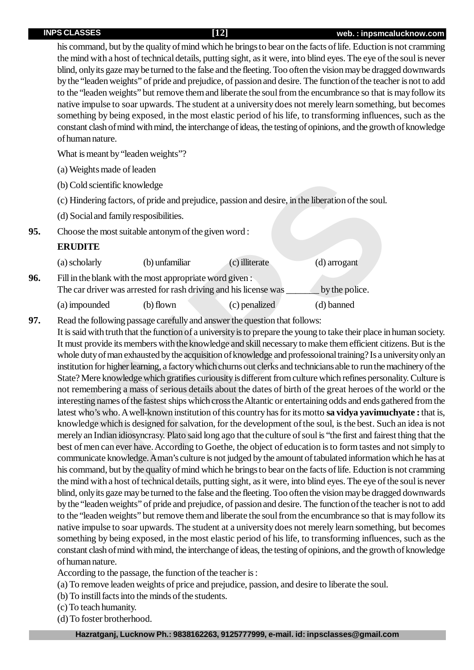# **INPS CLASSES [12] web. : inpsmcalucknow.com**

his command, but by the quality of mind which he brings to bear on the facts of life. Eduction is not cramming the mind with a host of technical details, putting sight, as it were, into blind eyes. The eye of the soul is never blind, only its gaze may be turned to the false and the fleeting. Too often the vision may be dragged downwards by the "leaden weights" of pride and prejudice, of passion and desire. The function of the teacher is not to add to the "leaden weights" but remove them and liberate the soul from the encumbrance so that is may follow its native impulse to soar upwards. The student at a university does not merely learn something, but becomes something by being exposed, in the most elastic period of his life, to transforming influences, such as the constant clash of mind with mind, the interchange of ideas, the testing of opinions, and the growth of knowledge of human nature.

What is meant by "leaden weights"?

- (a) Weights made of leaden
- (b) Cold scientific knowledge
- (c) Hindering factors, of pride and prejudice, passion and desire, in the liberation of the soul.
- (d) Social and family resposibilities.
- **95.** Choose the most suitable antonym of the given word :

### **ERUDITE**

| (a) scholarly | (b) unfamiliar | (c) illiterate | (d) arrogant |
|---------------|----------------|----------------|--------------|
|               |                |                |              |

**96.** Fill in the blank with the most appropriate word given : The car driver was arrested for rash driving and his license was <u>see</u> by the police. (a) impounded (b) flown (c) penalized (d) banned

**97.** Read the following passage carefully and answer the question that follows:

**Following Solution** (of the solution of the solution of the solution of the sould a<br>Cold scientific knowledge<br>
Cold and family resposibilities.<br>
Societies the most suitable antonym of the given word :<br> **IDITE**<br> **IDITE**<br> It is said with truth that the function of a university is to prepare the young to take their place in human society. It must provide its members with the knowledge and skill necessary to make them efficient citizens. But is the whole duty of man exhausted by the acquisition of knowledge and professoional training? Is a university only an institution for higher learning, a factory which churns out clerks and technicians able to run the machinery of the State? Mere knowledge which gratifies curiousity is different from culture which refines personality. Culture is not remembering a mass of serious details about the dates of birth of the great heroes of the world or the interesting names of the fastest ships which cross the Altantic or entertaining odds and ends gathered from the latest who's who. A well-known institution of this country has for its motto **sa vidya yavimuchyate :** that is, knowledge which is designed for salvation, for the development of the soul, is the best. Such an idea is not merely an Indian idiosyncrasy. Plato said long ago that the culture of soul is "the first and fairest thing that the best of men can ever have. According to Goethe, the object of education is to form tastes and not simply to communicate knowledge. A man's culture is not judged by the amount of tabulated information which he has at his command, but by the quality of mind which he brings to bear on the facts of life. Eduction is not cramming the mind with a host of technical details, putting sight, as it were, into blind eyes. The eye of the soul is never blind, only its gaze may be turned to the false and the fleeting. Too often the vision may be dragged downwards by the "leaden weights" of pride and prejudice, of passion and desire. The function of the teacher is not to add to the "leaden weights" but remove them and liberate the soul from the encumbrance so that is may follow its native impulse to soar upwards. The student at a university does not merely learn something, but becomes something by being exposed, in the most elastic period of his life, to transforming influences, such as the constant clash of mind with mind, the interchange of ideas, the testing of opinions, and the growth of knowledge of human nature.

According to the passage, the function of the teacher is :

- (a) To remove leaden weights of price and prejudice, passion, and desire to liberate the soul.
- (b) To instill facts into the minds of the students.
- (c) To teach humanity.
- (d) To foster brotherhood.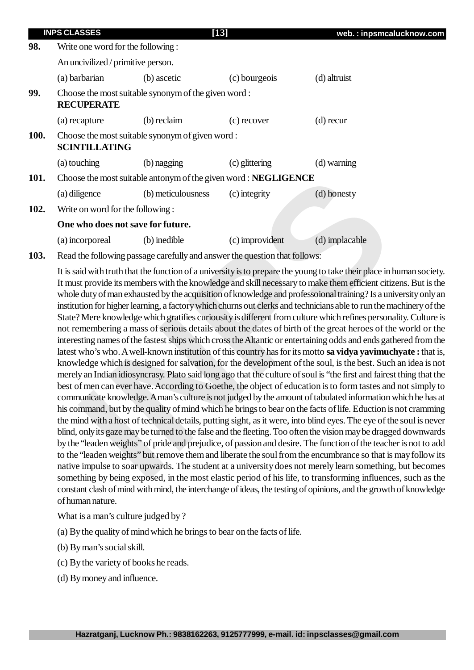|      | <b>INPS CLASSES</b>                |                                                                | $[13]$          | web.: inpsmcalucknow.com |
|------|------------------------------------|----------------------------------------------------------------|-----------------|--------------------------|
| 98.  | Write one word for the following:  |                                                                |                 |                          |
|      | An uncivilized / primitive person. |                                                                |                 |                          |
|      | (a) barbarian                      | (b) ascetic                                                    | (c) bourgeois   | (d) altruist             |
| 99.  | <b>RECUPERATE</b>                  | Choose the most suitable synonym of the given word:            |                 |                          |
|      | (a) recapture                      | (b) reclaim                                                    | (c) recover     | $(d)$ recur              |
| 100. | <b>SCINTILLATING</b>               | Choose the most suitable synonym of given word:                |                 |                          |
|      | (a) touching                       | $(b)$ nagging                                                  | (c) glittering  | (d) warning              |
| 101. |                                    | Choose the most suitable antonym of the given word: NEGLIGENCE |                 |                          |
|      | (a) diligence                      | (b) meticulousness                                             | (c) integrity   | (d) honesty              |
| 102. | Write on word for the following:   |                                                                |                 |                          |
|      | One who does not save for future.  |                                                                |                 |                          |
|      | (a) incorporeal                    | (b) inedible                                                   | (c) improvident | (d) implacable           |
|      |                                    |                                                                |                 |                          |

**103.** Read the following passage carefully and answer the question that follows:

**Insert of the most suitable antonym of the given word: INEGENCER (d)** honesty<br> **IIdence** (b) meticulousness (c) integrity (d) honesty<br> **IIdence** (c) improvident (d) implacable<br> **IIDence in the following :**<br> **IVENDENT (D** It is said with truth that the function of a university is to prepare the young to take their place in human society. It must provide its members with the knowledge and skill necessary to make them efficient citizens. But is the whole duty of man exhausted by the acquisition of knowledge and professoional training? Is a university only an institution for higher learning, a factory which churns out clerks and technicians able to run the machinery of the State? Mere knowledge which gratifies curiousity is different from culture which refines personality. Culture is not remembering a mass of serious details about the dates of birth of the great heroes of the world or the interesting names of the fastest ships which cross the Altantic or entertaining odds and ends gathered from the latest who's who. A well-known institution of this country has for its motto **sa vidya yavimuchyate :** that is, knowledge which is designed for salvation, for the development of the soul, is the best. Such an idea is not merely an Indian idiosyncrasy. Plato said long ago that the culture of soul is "the first and fairest thing that the best of men can ever have. According to Goethe, the object of education is to form tastes and not simply to communicate knowledge. A man's culture is not judged by the amount of tabulated information which he has at his command, but by the quality of mind which he brings to bear on the facts of life. Eduction is not cramming the mind with a host of technical details, putting sight, as it were, into blind eyes. The eye of the soul is never blind, only its gaze may be turned to the false and the fleeting. Too often the vision may be dragged downwards by the "leaden weights" of pride and prejudice, of passion and desire. The function of the teacher is not to add to the "leaden weights" but remove them and liberate the soul from the encumbrance so that is may follow its native impulse to soar upwards. The student at a university does not merely learn something, but becomes something by being exposed, in the most elastic period of his life, to transforming influences, such as the constant clash of mind with mind, the interchange of ideas, the testing of opinions, and the growth of knowledge of human nature.

What is a man's culture judged by ?

- (a) By the quality of mind which he brings to bear on the facts of life.
- (b) By man's social skill.
- (c) By the variety of books he reads.
- (d) By money and influence.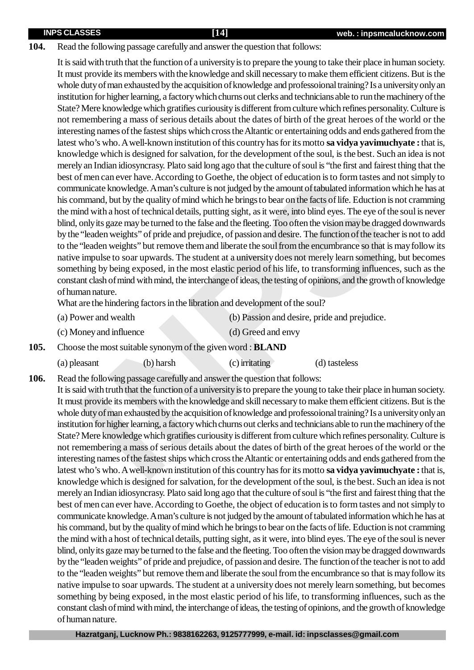#### **104.** Read the following passage carefully and answer the question that follows:

of men can ever have. According to Goetle, the object of education is to form tastes and not simple mental to the move of the control of Goetle, the object of education is to form tastes and not simplement a knowledge A. A It is said with truth that the function of a university is to prepare the young to take their place in human society. It must provide its members with the knowledge and skill necessary to make them efficient citizens. But is the whole duty of man exhausted by the acquisition of knowledge and professoional training? Is a university only an institution for higher learning, a factory which churns out clerks and technicians able to run the machinery of the State? Mere knowledge which gratifies curiousity is different from culture which refines personality. Culture is not remembering a mass of serious details about the dates of birth of the great heroes of the world or the interesting names of the fastest ships which cross the Altantic or entertaining odds and ends gathered from the latest who's who. A well-known institution of this country has for its motto **sa vidya yavimuchyate :** that is, knowledge which is designed for salvation, for the development of the soul, is the best. Such an idea is not merely an Indian idiosyncrasy. Plato said long ago that the culture of soul is "the first and fairest thing that the best of men can ever have. According to Goethe, the object of education is to form tastes and not simply to communicate knowledge. A man's culture is not judged by the amount of tabulated information which he has at his command, but by the quality of mind which he brings to bear on the facts of life. Eduction is not cramming the mind with a host of technical details, putting sight, as it were, into blind eyes. The eye of the soul is never blind, only its gaze may be turned to the false and the fleeting. Too often the vision may be dragged downwards by the "leaden weights" of pride and prejudice, of passion and desire. The function of the teacher is not to add to the "leaden weights" but remove them and liberate the soul from the encumbrance so that is may follow its native impulse to soar upwards. The student at a university does not merely learn something, but becomes something by being exposed, in the most elastic period of his life, to transforming influences, such as the constant clash of mind with mind, the interchange of ideas, the testing of opinions, and the growth of knowledge of human nature.

What are the hindering factors in the libration and development of the soul?

- (a) Power and wealth (b) Passion and desire, pride and prejudice.
	-
- (c) Money and influence (d) Greed and envy

**105.** Choose the most suitable synonym of the given word : **BLAND**

(a) pleasant (b) harsh (c) irritating (d) tasteless

**106.** Read the following passage carefully and answer the question that follows: It is said with truth that the function of a university is to prepare the young to take their place in human society. It must provide its members with the knowledge and skill necessary to make them efficient citizens. But is the whole duty of man exhausted by the acquisition of knowledge and professoional training? Is a university only an institution for higher learning, a factory which churns out clerks and technicians able to run the machinery of the State? Mere knowledge which gratifies curiousity is different from culture which refines personality. Culture is not remembering a mass of serious details about the dates of birth of the great heroes of the world or the interesting names of the fastest ships which cross the Altantic or entertaining odds and ends gathered from the latest who's who. A well-known institution of this country has for its motto **sa vidya yavimuchyate :** that is, knowledge which is designed for salvation, for the development of the soul, is the best. Such an idea is not merely an Indian idiosyncrasy. Plato said long ago that the culture of soul is "the first and fairest thing that the best of men can ever have. According to Goethe, the object of education is to form tastes and not simply to communicate knowledge. A man's culture is not judged by the amount of tabulated information which he has at his command, but by the quality of mind which he brings to bear on the facts of life. Eduction is not cramming

the mind with a host of technical details, putting sight, as it were, into blind eyes. The eye of the soul is never blind, only its gaze may be turned to the false and the fleeting. Too often the vision may be dragged downwards by the "leaden weights" of pride and prejudice, of passion and desire. The function of the teacher is not to add to the "leaden weights" but remove them and liberate the soul from the encumbrance so that is may follow its native impulse to soar upwards. The student at a university does not merely learn something, but becomes something by being exposed, in the most elastic period of his life, to transforming influences, such as the constant clash of mind with mind, the interchange of ideas, the testing of opinions, and the growth of knowledge of human nature.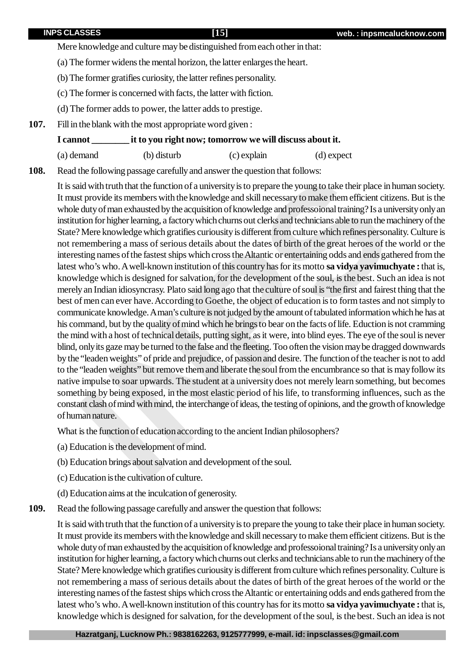Mere knowledge and culture may be distinguished from each other in that:

(a) The former widens the mental horizon, the latter enlarges the heart.

(b) The former gratifies curiosity, the latter refines personality.

(c) The former is concerned with facts, the latter with fiction.

(d) The former adds to power, the latter adds to prestige.

**107.** Fill in the blank with the most appropriate word given :

**I cannot \_\_\_\_\_\_\_\_ it to you right now; tomorrow we will discuss about it.**

(a) demand (b) disturb (c) explain (d) expect

**108.** Read the following passage carefully and answer the question that follows:

the following passage carefully and answer the question that follows:<br>
and virtual twith that the function of a university is to prepare the young to take their place in human so<br>
ist provide its members with the knowledge It is said with truth that the function of a university is to prepare the young to take their place in human society. It must provide its members with the knowledge and skill necessary to make them efficient citizens. But is the whole duty of man exhausted by the acquisition of knowledge and professoional training? Is a university only an institution for higher learning, a factory which churns out clerks and technicians able to run the machinery of the State? Mere knowledge which gratifies curiousity is different from culture which refines personality. Culture is not remembering a mass of serious details about the dates of birth of the great heroes of the world or the interesting names of the fastest ships which cross the Altantic or entertaining odds and ends gathered from the latest who's who. A well-known institution of this country has for its motto **sa vidya yavimuchyate :** that is, knowledge which is designed for salvation, for the development of the soul, is the best. Such an idea is not merely an Indian idiosyncrasy. Plato said long ago that the culture of soul is "the first and fairest thing that the best of men can ever have. According to Goethe, the object of education is to form tastes and not simply to communicate knowledge. A man's culture is not judged by the amount of tabulated information which he has at his command, but by the quality of mind which he brings to bear on the facts of life. Eduction is not cramming the mind with a host of technical details, putting sight, as it were, into blind eyes. The eye of the soul is never blind, only its gaze may be turned to the false and the fleeting. Too often the vision may be dragged downwards by the "leaden weights" of pride and prejudice, of passion and desire. The function of the teacher is not to add to the "leaden weights" but remove them and liberate the soul from the encumbrance so that is may follow its native impulse to soar upwards. The student at a university does not merely learn something, but becomes something by being exposed, in the most elastic period of his life, to transforming influences, such as the constant clash of mind with mind, the interchange of ideas, the testing of opinions, and the growth of knowledge of human nature.

What is the function of education according to the ancient Indian philosophers?

(a) Education is the development of mind.

- (b) Education brings about salvation and development of the soul.
- (c) Education is the cultivation of culture.
- (d) Education aims at the inculcation of generosity.
- **109.** Read the following passage carefully and answer the question that follows:

It is said with truth that the function of a university is to prepare the young to take their place in human society. It must provide its members with the knowledge and skill necessary to make them efficient citizens. But is the whole duty of man exhausted by the acquisition of knowledge and professoional training? Is a university only an institution for higher learning, a factory which churns out clerks and technicians able to run the machinery of the State? Mere knowledge which gratifies curiousity is different from culture which refines personality. Culture is not remembering a mass of serious details about the dates of birth of the great heroes of the world or the interesting names of the fastest ships which cross the Altantic or entertaining odds and ends gathered from the latest who's who. A well-known institution of this country has for its motto **sa vidya yavimuchyate :** that is, knowledge which is designed for salvation, for the development of the soul, is the best. Such an idea is not